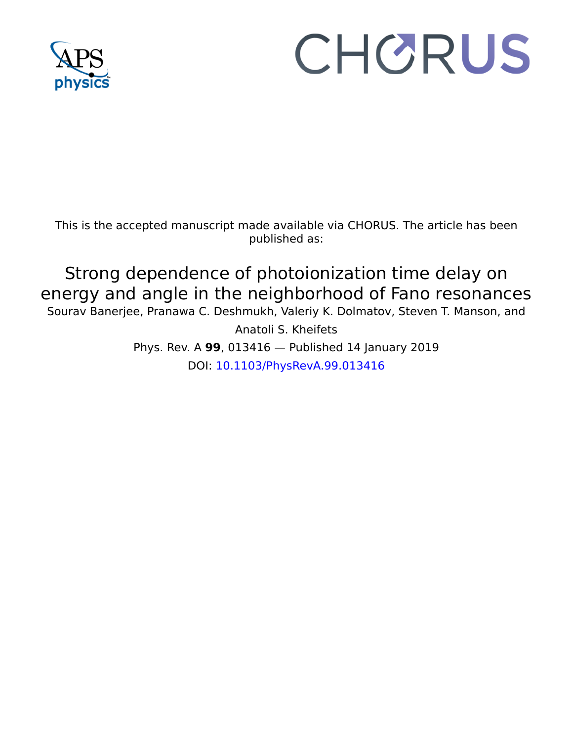

# CHORUS

This is the accepted manuscript made available via CHORUS. The article has been published as:

Strong dependence of photoionization time delay on energy and angle in the neighborhood of Fano resonances Sourav Banerjee, Pranawa C. Deshmukh, Valeriy K. Dolmatov, Steven T. Manson, and

> Anatoli S. Kheifets Phys. Rev. A **99**, 013416 — Published 14 January 2019 DOI: [10.1103/PhysRevA.99.013416](http://dx.doi.org/10.1103/PhysRevA.99.013416)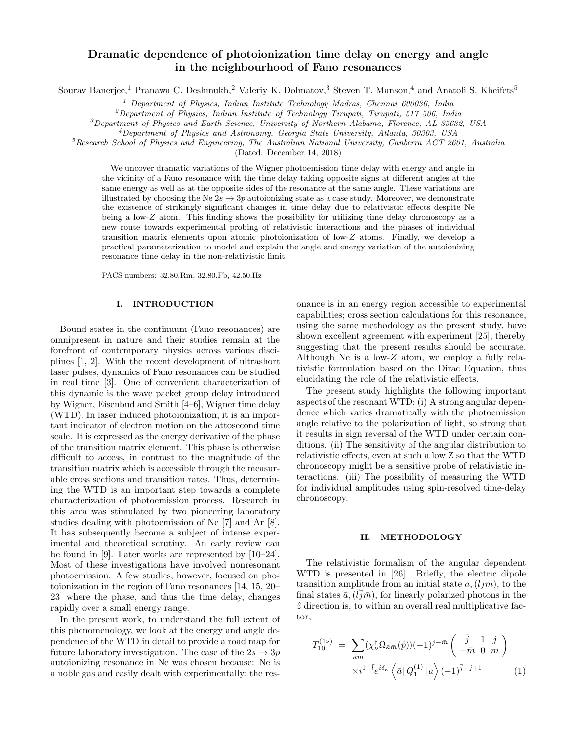# Dramatic dependence of photoionization time delay on energy and angle in the neighbourhood of Fano resonances

Sourav Banerjee,<sup>1</sup> Pranawa C. Deshmukh,<sup>2</sup> Valeriy K. Dolmatov,<sup>3</sup> Steven T. Manson,<sup>4</sup> and Anatoli S. Kheifets<sup>5</sup>

<sup>1</sup> Department of Physics, Indian Institute Technology Madras, Chennai 600036, India

 $^{2}$ Department of Physics, Indian Institute of Technology Tirupati, Tirupati, 517 506, India

 $3$ Department of Physics and Earth Science, University of Northern Alabama, Florence, AL 35632, USA

<sup>4</sup>Department of Physics and Astronomy, Georgia State University, Atlanta, 30303, USA

<sup>5</sup>Research School of Physics and Engineering, The Australian National University, Canberra ACT 2601, Australia

(Dated: December 14, 2018)

We uncover dramatic variations of the Wigner photoemission time delay with energy and angle in the vicinity of a Fano resonance with the time delay taking opposite signs at different angles at the same energy as well as at the opposite sides of the resonance at the same angle. These variations are illustrated by choosing the Ne  $2s \to 3p$  autoionizing state as a case study. Moreover, we demonstrate the existence of strikingly significant changes in time delay due to relativistic effects despite Ne being a low-Z atom. This finding shows the possibility for utilizing time delay chronoscopy as a new route towards experimental probing of relativistic interactions and the phases of individual transition matrix elements upon atomic photoionization of low-Z atoms. Finally, we develop a practical parameterization to model and explain the angle and energy variation of the autoionizing resonance time delay in the non-relativistic limit.

PACS numbers: 32.80.Rm, 32.80.Fb, 42.50.Hz

#### I. INTRODUCTION

Bound states in the continuum (Fano resonances) are omnipresent in nature and their studies remain at the forefront of contemporary physics across various disciplines [1, 2]. With the recent development of ultrashort laser pulses, dynamics of Fano resonances can be studied in real time [3]. One of convenient characterization of this dynamic is the wave packet group delay introduced by Wigner, Eisenbud and Smith [4–6], Wigner time delay (WTD). In laser induced photoionization, it is an important indicator of electron motion on the attosecond time scale. It is expressed as the energy derivative of the phase of the transition matrix element. This phase is otherwise difficult to access, in contrast to the magnitude of the transition matrix which is accessible through the measurable cross sections and transition rates. Thus, determining the WTD is an important step towards a complete characterization of photoemission process. Research in this area was stimulated by two pioneering laboratory studies dealing with photoemission of Ne [7] and Ar [8]. It has subsequently become a subject of intense experimental and theoretical scrutiny. An early review can be found in [9]. Later works are represented by [10–24]. Most of these investigations have involved nonresonant photoemission. A few studies, however, focused on photoionization in the region of Fano resonances [14, 15, 20– 23] where the phase, and thus the time delay, changes rapidly over a small energy range.

In the present work, to understand the full extent of this phenomenology, we look at the energy and angle dependence of the WTD in detail to provide a road map for future laboratory investigation. The case of the  $2s \rightarrow 3p$ autoionizing resonance in Ne was chosen because: Ne is a noble gas and easily dealt with experimentally; the resonance is in an energy region accessible to experimental capabilities; cross section calculations for this resonance, using the same methodology as the present study, have shown excellent agreement with experiment [25], thereby suggesting that the present results should be accurate. Although Ne is a low-Z atom, we employ a fully relativistic formulation based on the Dirac Equation, thus elucidating the role of the relativistic effects.

The present study highlights the following important aspects of the resonant WTD: (i) A strong angular dependence which varies dramatically with the photoemission angle relative to the polarization of light, so strong that it results in sign reversal of the WTD under certain conditions. (ii) The sensitivity of the angular distribution to relativistic effects, even at such a low Z so that the WTD chronoscopy might be a sensitive probe of relativistic interactions. (iii) The possibility of measuring the WTD for individual amplitudes using spin-resolved time-delay chronoscopy.

## II. METHODOLOGY

The relativistic formalism of the angular dependent WTD is presented in [26]. Briefly, the electric dipole transition amplitude from an initial state  $a,(l/m)$ , to the final states  $\bar{a}$ ,  $(\bar{l} \bar{j} \bar{m})$ , for linearly polarized photons in the  $\hat{z}$  direction is, to within an overall real multiplicative factor,

$$
T_{10}^{(1\nu)} = \sum_{\bar{\kappa}\bar{m}} (\chi_{\nu}^{\dagger} \Omega_{\bar{\kappa}\bar{m}}(\hat{p})) (-1)^{\bar{j} - \bar{m}} \begin{pmatrix} \bar{j} & 1 & j \\ -\bar{m} & 0 & m \end{pmatrix}
$$

$$
\times i^{1-\bar{l}} e^{i\delta_{\bar{\kappa}}} \left\langle \bar{a} \| Q_1^{(1)} \| a \right\rangle (-1)^{\bar{j}+j+1}
$$
(1)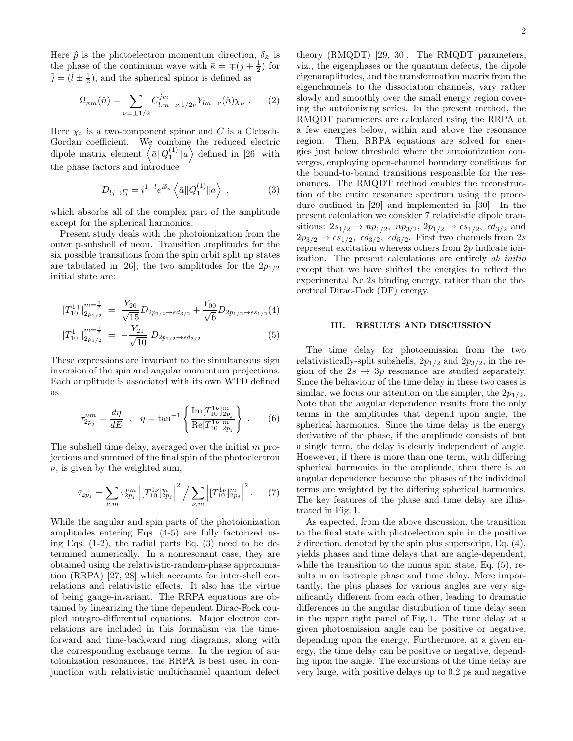Here  $\hat{p}$  is the photoelectron momentum direction,  $\delta_{\bar{\kappa}}$  is the phase of the continuum wave with  $\bar{\kappa} = \pm (\bar{j} + \frac{1}{2})$  for  $\bar{j} = (\bar{l} \pm \frac{1}{2})$ , and the spherical spinor is defined as

$$
\Omega_{\kappa m}(\hat{n}) = \sum_{\nu = \pm 1/2} C^{jm}_{l,m-\nu,1/2\nu} Y_{lm-\nu}(\hat{n}) \chi_{\nu} . \tag{2}
$$

Here  $\chi_{\nu}$  is a two-component spinor and C is a Clebsch-Gordan coefficient. We combine the reduced electric dipole matrix element  $\langle \bar{a} \| Q_1^{(1)} \| a \rangle$  defined in [26] with the phase factors and introduce

$$
D_{lj\to\bar{l}\bar{j}} = i^{1-\bar{l}} e^{i\delta_{\bar{\kappa}}} \left\langle \bar{a} \| Q_1^{(1)} \| a \right\rangle , \qquad (3)
$$

which absorbs all of the complex part of the amplitude except for the spherical harmonics.

Present study deals with the photoionization from the outer p-subshell of neon. Transition amplitudes for the six possible transitions from the spin orbit split np states are tabulated in [26]; the two amplitudes for the  $2p_{1/2}$ initial state are:

$$
[T_{10}^{1+}]_{2p_{1/2}}^{m=\frac{1}{2}} = \frac{Y_{20}}{\sqrt{15}} D_{2p_{1/2} \to \epsilon d_{3/2}} + \frac{Y_{00}}{\sqrt{6}} D_{2p_{1/2} \to \epsilon s_{1/2}}(4)
$$
  

$$
[T_{10}^{1-}]_{2p_{1/2}}^{m=\frac{1}{2}} = -\frac{Y_{21}}{\sqrt{10}} D_{2p_{1/2} \to \epsilon d_{3/2}} \tag{5}
$$

These expressions are invariant to the simultaneous sign inversion of the spin and angular momentum projections. Each amplitude is associated with its own WTD defined as

$$
\tau_{2p_j}^{\nu m} = \frac{d\eta}{dE} , \quad \eta = \tan^{-1} \left\{ \frac{\text{Im}[T_{10}^{1\nu}]_{2p_j}^m}{\text{Re}[T_{10}^{1\nu}]_{2p_j}^m} \right\} . \tag{6}
$$

The subshell time delay, averaged over the initial m projections and summed of the final spin of the photoelectron  $\nu$ , is given by the weighted sum,

$$
\bar{\tau}_{2p_j} = \sum_{\nu,m} \tau_{2p_j}^{\nu m} \left| [T_{10}^{1\nu}]_{2p_j}^m \right|^2 / \sum_{\nu,m} \left| [T_{10}^{1\nu}]_{2p_j}^m \right|^2. \tag{7}
$$

While the angular and spin parts of the photoionization amplitudes entering Eqs. (4-5) are fully factorized using Eqs.  $(1-2)$ , the radial parts Eq.  $(3)$  need to be determined numerically. In a nonresonant case, they are obtained using the relativistic-random-phase approximation (RRPA) [27, 28] which accounts for inter-shell correlations and relativistic effects. It also has the virtue of being gauge-invariant. The RRPA equations are obtained by linearizing the time dependent Dirac-Fock coupled integro-differential equations. Major electron correlations are included in this formalism via the timeforward and time-backward ring diagrams, along with the corresponding exchange terms. In the region of autoionization resonances, the RRPA is best used in conjunction with relativistic multichannel quantum defect

theory (RMQDT) [29, 30]. The RMQDT parameters, viz., the eigenphases or the quantum defects, the dipole eigenamplitudes, and the transformation matrix from the eigenchannels to the dissociation channels, vary rather slowly and smoothly over the small energy region covering the autoionizing series. In the present method, the RMQDT parameters are calculated using the RRPA at a few energies below, within and above the resonance region. Then, RRPA equations are solved for energies just below threshold where the autoionization converges, employing open-channel boundary conditions for the bound-to-bound transitions responsible for the resonances. The RMQDT method enables the reconstruction of the entire resonance spectrum using the procedure outlined in [29] and implemented in [30]. In the present calculation we consider 7 relativistic dipole transitions:  $2s_{1/2} \to np_{1/2}$ ,  $np_{3/2}$ ,  $2p_{1/2} \to \epsilon s_{1/2}$ ,  $\epsilon d_{3/2}$  and  $2p_{3/2} \rightarrow \epsilon s_{1/2}$ ,  $\epsilon d_{3/2}$ ,  $\epsilon d_{5/2}$ . First two channels from 2s represent excitation whereas others from 2p indicate ionization. The present calculations are entirely ab initio except that we have shifted the energies to reflect the experimental Ne 2s binding energy, rather than the theoretical Dirac-Fock (DF) energy.

## III. RESULTS AND DISCUSSION

The time delay for photoemission from the two relativistically-split subshells,  $2p_{1/2}$  and  $2p_{3/2}$ , in the region of the  $2s \rightarrow 3p$  resonance are studied separately. Since the behaviour of the time delay in these two cases is similar, we focus our attention on the simpler, the  $2p_{1/2}$ . Note that the angular dependence results from the only terms in the amplitudes that depend upon angle, the spherical harmonics. Since the time delay is the energy derivative of the phase, if the amplitude consists of but a single term, the delay is clearly independent of angle. Hoewever, if there is more than one term, with differing spherical harmonics in the amplitude, then there is an angular dependence because the phases of the individual terms are weighted by the differing spherical harmonics. The key features of the phase and time delay are illustrated in Fig. 1.

As expected, from the above discussion, the transition to the final state with photoelectron spin in the positive  $\hat{z}$  direction, denoted by the spin plus superscript, Eq. (4), yields phases and time delays that are angle-dependent, while the transition to the minus spin state, Eq. (5), results in an isotropic phase and time delay. More importantly, the plus phases for various angles are very significantly different from each other, leading to dramatic differences in the angular distribution of time delay seen in the upper right panel of Fig. 1. The time delay at a given photoemission angle can be positive or negative, depending upon the energy. Furthermore, at a given energy, the time delay can be positive or negative, depending upon the angle. The excursions of the time delay are very large, with positive delays up to 0.2 ps and negative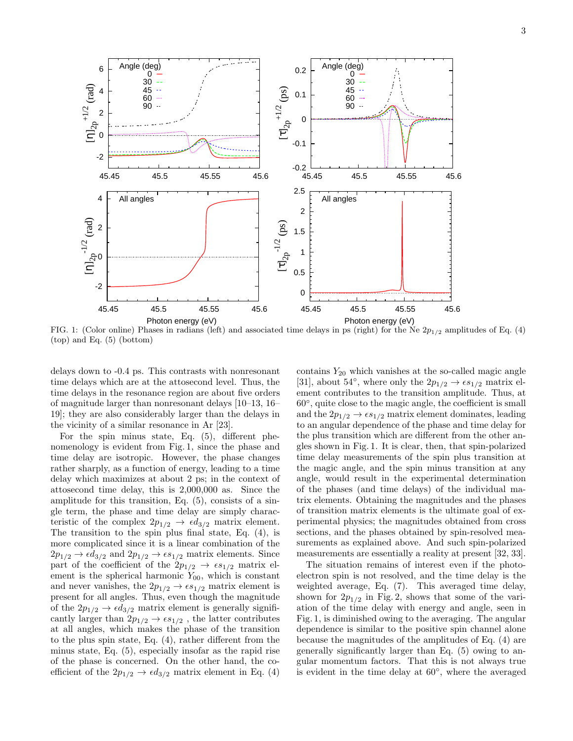3



FIG. 1: (Color online) Phases in radians (left) and associated time delays in ps (right) for the Ne  $2p_{1/2}$  amplitudes of Eq. (4) (top) and Eq. (5) (bottom)

delays down to -0.4 ps. This contrasts with nonresonant time delays which are at the attosecond level. Thus, the time delays in the resonance region are about five orders of magnitude larger than nonresonant delays [10–13, 16– 19]; they are also considerably larger than the delays in the vicinity of a similar resonance in Ar [23].

For the spin minus state, Eq. (5), different phenomenology is evident from Fig. 1, since the phase and time delay are isotropic. However, the phase changes rather sharply, as a function of energy, leading to a time delay which maximizes at about 2 ps; in the context of attosecond time delay, this is 2,000,000 as. Since the amplitude for this transition, Eq. (5), consists of a single term, the phase and time delay are simply characteristic of the complex  $2p_{1/2} \rightarrow \epsilon d_{3/2}$  matrix element. The transition to the spin plus final state, Eq. (4), is more complicated since it is a linear combination of the  $2p_{1/2} \rightarrow \epsilon d_{3/2}$  and  $2p_{1/2} \rightarrow \epsilon s_{1/2}$  matrix elements. Since part of the coefficient of the  $2p_{1/2} \rightarrow \epsilon s_{1/2}$  matrix element is the spherical harmonic  $Y_{00}$ , which is constant and never vanishes, the  $2p_{1/2} \rightarrow \epsilon s_{1/2}$  matrix element is present for all angles. Thus, even though the magnitude of the  $2p_{1/2} \rightarrow \epsilon d_{3/2}$  matrix element is generally significantly larger than  $2p_{1/2} \rightarrow \epsilon s_{1/2}$ , the latter contributes at all angles, which makes the phase of the transition to the plus spin state, Eq. (4), rather different from the minus state, Eq. (5), especially insofar as the rapid rise of the phase is concerned. On the other hand, the coefficient of the  $2p_{1/2} \rightarrow \epsilon d_{3/2}$  matrix element in Eq. (4)

contains  $Y_{20}$  which vanishes at the so-called magic angle [31], about 54<sup>°</sup>, where only the  $2p_{1/2} \rightarrow \epsilon s_{1/2}$  matrix element contributes to the transition amplitude. Thus, at 60◦ , quite close to the magic angle, the coefficient is small and the  $2p_{1/2} \rightarrow \epsilon s_{1/2}$  matrix element dominates, leading to an angular dependence of the phase and time delay for the plus transition which are different from the other angles shown in Fig. 1. It is clear, then, that spin-polarized time delay measurements of the spin plus transition at the magic angle, and the spin minus transition at any angle, would result in the experimental determination of the phases (and time delays) of the individual matrix elements. Obtaining the magnitudes and the phases of transition matrix elements is the ultimate goal of experimental physics; the magnitudes obtained from cross sections, and the phases obtained by spin-resolved measurements as explained above. And such spin-polarized measurements are essentially a reality at present [32, 33].

The situation remains of interest even if the photoelectron spin is not resolved, and the time delay is the weighted average, Eq. (7). This averaged time delay, shown for  $2p_{1/2}$  in Fig. 2, shows that some of the variation of the time delay with energy and angle, seen in Fig. 1, is diminished owing to the averaging. The angular dependence is similar to the positive spin channel alone because the magnitudes of the amplitudes of Eq. (4) are generally significantly larger than Eq. (5) owing to angular momentum factors. That this is not always true is evident in the time delay at 60◦ , where the averaged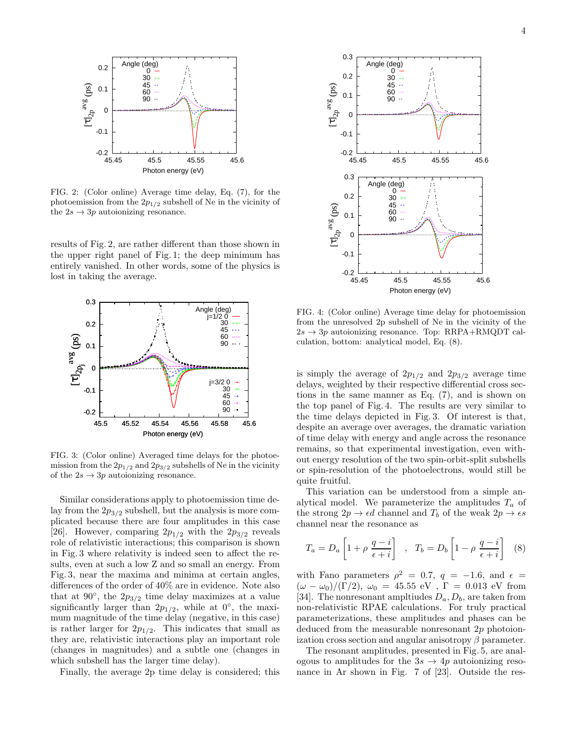

FIG. 2: (Color online) Average time delay, Eq. (7), for the photoemission from the  $2p_{1/2}$  subshell of Ne in the vicinity of the  $2s \rightarrow 3p$  autoionizing resonance.

results of Fig. 2, are rather different than those shown in the upper right panel of Fig. 1; the deep minimum has entirely vanished. In other words, some of the physics is lost in taking the average.



FIG. 3: (Color online) Averaged time delays for the photoemission from the  $2p_{1/2}$  and  $2p_{3/2}$  subshells of Ne in the vicinity of the  $2s \rightarrow 3p$  autoionizing resonance.

Similar considerations apply to photoemission time delay from the  $2p_{3/2}$  subshell, but the analysis is more complicated because there are four amplitudes in this case [26]. However, comparing  $2p_{1/2}$  with the  $2p_{3/2}$  reveals role of relativistic interactions; this comparison is shown in Fig. 3 where relativity is indeed seen to affect the results, even at such a low Z and so small an energy. From Fig. 3, near the maxima and minima at certain angles, differences of the order of 40% are in evidence. Note also that at  $90^{\circ}$ , the  $2p_{3/2}$  time delay maximizes at a value significantly larger than  $2p_{1/2}$ , while at  $0^{\circ}$ , the maximum magnitude of the time delay (negative, in this case) is rather larger for  $2p_{1/2}$ . This indicates that small as they are, relativistic interactions play an important role (changes in magnitudes) and a subtle one (changes in which subshell has the larger time delay).

Finally, the average 2p time delay is considered; this



FIG. 4: (Color online) Average time delay for photoemission from the unresolved 2p subshell of Ne in the vicinity of the  $2s \rightarrow 3p$  autoionizing resonance. Top: RRPA+RMQDT calculation, bottom: analytical model, Eq. (8).

is simply the average of  $2p_{1/2}$  and  $2p_{3/2}$  average time delays, weighted by their respective differential cross sections in the same manner as Eq. (7), and is shown on the top panel of Fig. 4. The results are very similar to the time delays depicted in Fig. 3. Of interest is that, despite an average over averages, the dramatic variation of time delay with energy and angle across the resonance remains, so that experimental investigation, even without energy resolution of the two spin-orbit-split subshells or spin-resolution of the photoelectrons, would still be quite fruitful.

This variation can be understood from a simple analytical model. We parameterize the amplitudes  $T_a$  of the strong  $2p \rightarrow \epsilon d$  channel and  $T_b$  of the weak  $2p \rightarrow \epsilon s$ channel near the resonance as

$$
T_a = D_a \left[ 1 + \rho \frac{q - i}{\epsilon + i} \right] , \quad T_b = D_b \left[ 1 - \rho \frac{q - i}{\epsilon + i} \right] \quad (8)
$$

with Fano parameters  $\rho^2 = 0.7$ ,  $q = -1.6$ , and  $\epsilon =$  $(\omega - \omega_0)/(\Gamma/2)$ ,  $\omega_0 = 45.55$  eV,  $\Gamma = 0.013$  eV from [34]. The nonresonant ampltiudes  $D_a, D_b$ , are taken from non-relativistic RPAE calculations. For truly practical parameterizations, these amplitudes and phases can be deduced from the measurable nonresonant 2p photoionization cross section and angular anisotropy  $\beta$  parameter.

The resonant amplitudes, presented in Fig. 5, are analogous to amplitudes for the  $3s \rightarrow 4p$  autoionizing resonance in Ar shown in Fig. 7 of [23]. Outside the res-